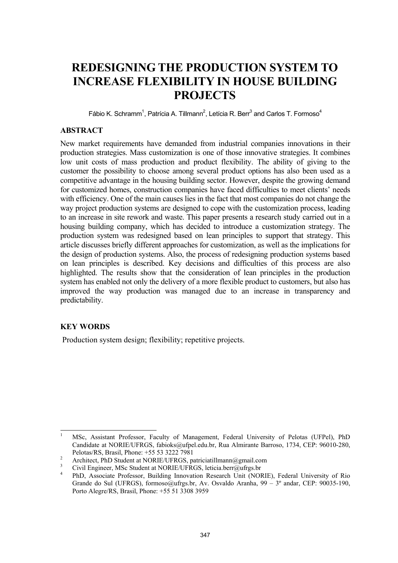# **REDESIGNING THE PRODUCTION SYSTEM TO INCREASE FLEXIBILITY IN HOUSE BUILDING PROJECTS**

Fábio K. Schramm<sup>1</sup>, Patrícia A. Tillmann<sup>2</sup>, Letícia R. Berr<sup>3</sup> and Carlos T. Formoso<sup>4</sup>

## **ABSTRACT**

New market requirements have demanded from industrial companies innovations in their production strategies. Mass customization is one of those innovative strategies. It combines low unit costs of mass production and product flexibility. The ability of giving to the customer the possibility to choose among several product options has also been used as a competitive advantage in the housing building sector. However, despite the growing demand for customized homes, construction companies have faced difficulties to meet clients' needs with efficiency. One of the main causes lies in the fact that most companies do not change the way project production systems are designed to cope with the customization process, leading to an increase in site rework and waste. This paper presents a research study carried out in a housing building company, which has decided to introduce a customization strategy. The production system was redesigned based on lean principles to support that strategy. This article discusses briefly different approaches for customization, as well as the implications for the design of production systems. Also, the process of redesigning production systems based on lean principles is described. Key decisions and difficulties of this process are also highlighted. The results show that the consideration of lean principles in the production system has enabled not only the delivery of a more flexible product to customers, but also has improved the way production was managed due to an increase in transparency and predictability.

#### **KEY WORDS**

Production system design; flexibility; repetitive projects.

<sup>|&</sup>lt;br>|<br>| MSc, Assistant Professor, Faculty of Management, Federal University of Pelotas (UFPel), PhD Candidate at NORIE/UFRGS, fabioks@ufpel.edu.br, Rua Almirante Barroso, 1734, CEP: 96010-280, Pelotas/RS, Brasil, Phone:  $+55\overline{53}\overline{3222}\overline{7981}$ 

Architect, PhD Student at NORIE/UFRGS, patriciatillmann@gmail.com

Civil Engineer, MSc Student at NORIE/UFRGS, leticia.berr@ufrgs.br

<sup>4</sup> PhD, Associate Professor, Building Innovation Research Unit (NORIE), Federal University of Rio Grande do Sul (UFRGS), formoso@ufrgs.br, Av. Osvaldo Aranha, 99 – 3° andar, CEP: 90035-190, Porto Alegre/RS, Brasil, Phone: +55 51 3308 3959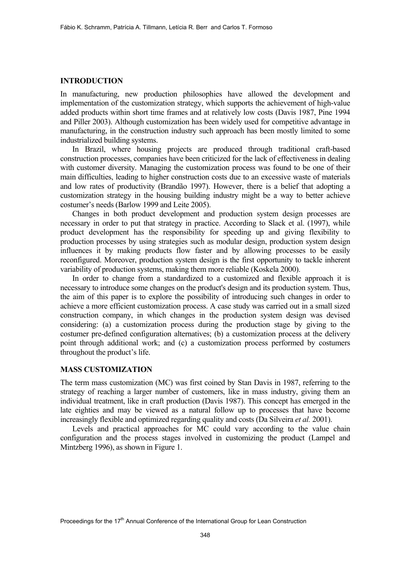#### **INTRODUCTION**

In manufacturing, new production philosophies have allowed the development and implementation of the customization strategy, which supports the achievement of high-value added products within short time frames and at relatively low costs (Davis 1987, Pine 1994 and Piller 2003). Although customization has been widely used for competitive advantage in manufacturing, in the construction industry such approach has been mostly limited to some industrialized building systems.

In Brazil, where housing projects are produced through traditional craft-based construction processes, companies have been criticized for the lack of effectiveness in dealing with customer diversity. Managing the customization process was found to be one of their main difficulties, leading to higher construction costs due to an excessive waste of materials and low rates of productivity (Brandão 1997). However, there is a belief that adopting a customization strategy in the housing building industry might be a way to better achieve costumer's needs (Barlow 1999 and Leite 2005).

Changes in both product development and production system design processes are necessary in order to put that strategy in practice. According to Slack et al. (1997), while product development has the responsibility for speeding up and giving flexibility to production processes by using strategies such as modular design, production system design influences it by making products flow faster and by allowing processes to be easily reconfigured. Moreover, production system design is the first opportunity to tackle inherent variability of production systems, making them more reliable (Koskela 2000).

In order to change from a standardized to a customized and flexible approach it is necessary to introduce some changes on the product's design and its production system. Thus, the aim of this paper is to explore the possibility of introducing such changes in order to achieve a more efficient customization process. A case study was carried out in a small sized construction company, in which changes in the production system design was devised considering: (a) a customization process during the production stage by giving to the costumer pre-defined configuration alternatives; (b) a customization process at the delivery point through additional work; and (c) a customization process performed by costumers throughout the product's life.

## **MASS CUSTOMIZATION**

The term mass customization (MC) was first coined by Stan Davis in 1987, referring to the strategy of reaching a larger number of customers, like in mass industry, giving them an individual treatment, like in craft production (Davis 1987). This concept has emerged in the late eighties and may be viewed as a natural follow up to processes that have become increasingly flexible and optimized regarding quality and costs (Da Silveira *et al.* 2001).

Levels and practical approaches for MC could vary according to the value chain configuration and the process stages involved in customizing the product (Lampel and Mintzberg 1996), as shown in Figure 1.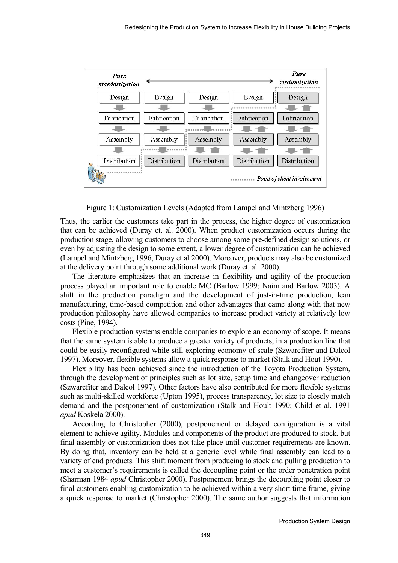

Figure 1: Customization Levels (Adapted from Lampel and Mintzberg 1996)

Thus, the earlier the customers take part in the process, the higher degree of customization that can be achieved (Duray et. al. 2000). When product customization occurs during the production stage, allowing customers to choose among some pre-defined design solutions, or even by adjusting the design to some extent, a lower degree of customization can be achieved (Lampel and Mintzberg 1996, Duray et al 2000). Moreover, products may also be customized at the delivery point through some additional work (Duray et. al. 2000).

The literature emphasizes that an increase in flexibility and agility of the production process played an important role to enable MC (Barlow 1999; Naim and Barlow 2003). A shift in the production paradigm and the development of just-in-time production, lean manufacturing, time-based competition and other advantages that came along with that new production philosophy have allowed companies to increase product variety at relatively low costs (Pine, 1994).

Flexible production systems enable companies to explore an economy of scope. It means that the same system is able to produce a greater variety of products, in a production line that could be easily reconfigured while still exploring economy of scale (Szwarcfiter and Dalcol 1997). Moreover, flexible systems allow a quick response to market (Stalk and Hout 1990).

Flexibility has been achieved since the introduction of the Toyota Production System, through the development of principles such as lot size, setup time and changeover reduction (Szwarcfiter and Dalcol 1997). Other factors have also contributed for more flexible systems such as multi-skilled workforce (Upton 1995), process transparency, lot size to closely match demand and the postponement of customization (Stalk and Hoult 1990; Child et al. 1991 *apud* Koskela 2000).

According to Christopher (2000), postponement or delayed configuration is a vital element to achieve agility. Modules and components of the product are produced to stock, but final assembly or customization does not take place until customer requirements are known. By doing that, inventory can be held at a generic level while final assembly can lead to a variety of end products. This shift moment from producing to stock and pulling production to meet a customer's requirements is called the decoupling point or the order penetration point (Sharman 1984 *apud* Christopher 2000). Postponement brings the decoupling point closer to final customers enabling customization to be achieved within a very short time frame, giving a quick response to market (Christopher 2000). The same author suggests that information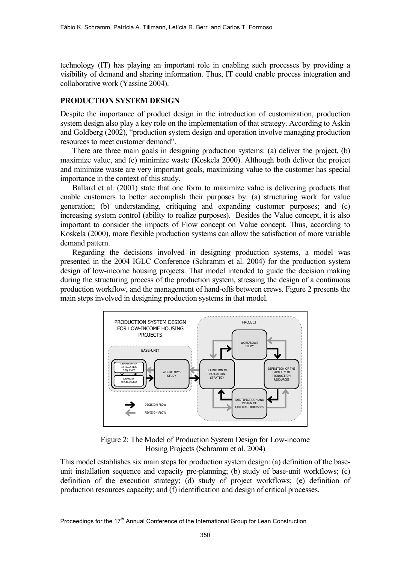technology (IT) has playing an important role in enabling such processes by providing a visibility of demand and sharing information. Thus, IT could enable process integration and collaborative work (Yassine 2004).

## **PRODUCTION SYSTEM DESIGN**

Despite the importance of product design in the introduction of customization, production system design also play a key role on the implementation of that strategy. According to Askin and Goldberg (2002), "production system design and operation involve managing production resources to meet customer demand".

There are three main goals in designing production systems: (a) deliver the project, (b) maximize value, and (c) minimize waste (Koskela 2000). Although both deliver the project and minimize waste are very important goals, maximizing value to the customer has special importance in the context of this study.

Ballard et al. (2001) state that one form to maximize value is delivering products that enable customers to better accomplish their purposes by: (a) structuring work for value generation; (b) understanding, critiquing and expanding customer purposes; and (c) increasing system control (ability to realize purposes). Besides the Value concept, it is also important to consider the impacts of Flow concept on Value concept. Thus, according to Koskela (2000), more flexible production systems can allow the satisfaction of more variable demand pattern.

Regarding the decisions involved in designing production systems, a model was presented in the 2004 IGLC Conference (Schramm et al. 2004) for the production system design of low-income housing projects. That model intended to guide the decision making during the structuring process of the production system, stressing the design of a continuous production workflow, and the management of hand-offs between crews. Figure 2 presents the main steps involved in designing production systems in that model.



Figure 2: The Model of Production System Design for Low-income Hosing Projects (Schramm et al. 2004)

This model establishes six main steps for production system design: (a) definition of the baseunit installation sequence and capacity pre-planning; (b) study of base-unit workflows; (c) definition of the execution strategy; (d) study of project workflows; (e) definition of production resources capacity; and (f) identification and design of critical processes.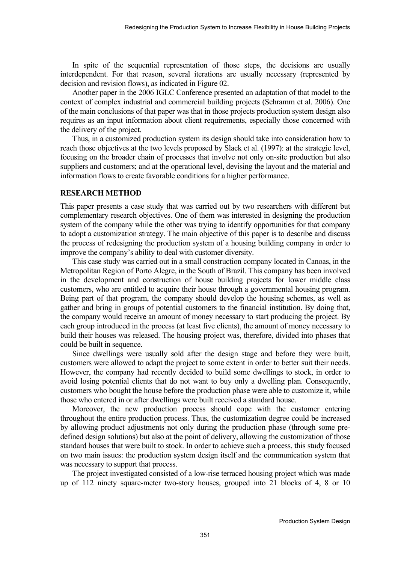In spite of the sequential representation of those steps, the decisions are usually interdependent. For that reason, several iterations are usually necessary (represented by decision and revision flows), as indicated in Figure 02.

Another paper in the 2006 IGLC Conference presented an adaptation of that model to the context of complex industrial and commercial building projects (Schramm et al. 2006). One of the main conclusions of that paper was that in those projects production system design also requires as an input information about client requirements, especially those concerned with the delivery of the project.

Thus, in a customized production system its design should take into consideration how to reach those objectives at the two levels proposed by Slack et al. (1997): at the strategic level, focusing on the broader chain of processes that involve not only on-site production but also suppliers and customers; and at the operational level, devising the layout and the material and information flows to create favorable conditions for a higher performance.

#### **RESEARCH METHOD**

This paper presents a case study that was carried out by two researchers with different but complementary research objectives. One of them was interested in designing the production system of the company while the other was trying to identify opportunities for that company to adopt a customization strategy. The main objective of this paper is to describe and discuss the process of redesigning the production system of a housing building company in order to improve the company's ability to deal with customer diversity.

This case study was carried out in a small construction company located in Canoas, in the Metropolitan Region of Porto Alegre, in the South of Brazil. This company has been involved in the development and construction of house building projects for lower middle class customers, who are entitled to acquire their house through a governmental housing program. Being part of that program, the company should develop the housing schemes, as well as gather and bring in groups of potential customers to the financial institution. By doing that, the company would receive an amount of money necessary to start producing the project. By each group introduced in the process (at least five clients), the amount of money necessary to build their houses was released. The housing project was, therefore, divided into phases that could be built in sequence.

Since dwellings were usually sold after the design stage and before they were built, customers were allowed to adapt the project to some extent in order to better suit their needs. However, the company had recently decided to build some dwellings to stock, in order to avoid losing potential clients that do not want to buy only a dwelling plan. Consequently, customers who bought the house before the production phase were able to customize it, while those who entered in or after dwellings were built received a standard house.

Moreover, the new production process should cope with the customer entering throughout the entire production process. Thus, the customization degree could be increased by allowing product adjustments not only during the production phase (through some predefined design solutions) but also at the point of delivery, allowing the customization of those standard houses that were built to stock. In order to achieve such a process, this study focused on two main issues: the production system design itself and the communication system that was necessary to support that process.

The project investigated consisted of a low-rise terraced housing project which was made up of 112 ninety square-meter two-story houses, grouped into 21 blocks of 4, 8 or 10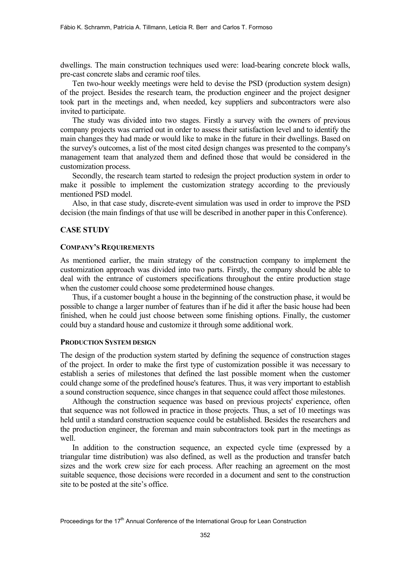dwellings. The main construction techniques used were: load-bearing concrete block walls, pre-cast concrete slabs and ceramic roof tiles.

Ten two-hour weekly meetings were held to devise the PSD (production system design) of the project. Besides the research team, the production engineer and the project designer took part in the meetings and, when needed, key suppliers and subcontractors were also invited to participate.

The study was divided into two stages. Firstly a survey with the owners of previous company projects was carried out in order to assess their satisfaction level and to identify the main changes they had made or would like to make in the future in their dwellings. Based on the survey's outcomes, a list of the most cited design changes was presented to the company's management team that analyzed them and defined those that would be considered in the customization process.

Secondly, the research team started to redesign the project production system in order to make it possible to implement the customization strategy according to the previously mentioned PSD model.

Also, in that case study, discrete-event simulation was used in order to improve the PSD decision (the main findings of that use will be described in another paper in this Conference).

#### **CASE STUDY**

#### **COMPANY'S REQUIREMENTS**

As mentioned earlier, the main strategy of the construction company to implement the customization approach was divided into two parts. Firstly, the company should be able to deal with the entrance of customers specifications throughout the entire production stage when the customer could choose some predetermined house changes.

Thus, if a customer bought a house in the beginning of the construction phase, it would be possible to change a larger number of features than if he did it after the basic house had been finished, when he could just choose between some finishing options. Finally, the customer could buy a standard house and customize it through some additional work.

#### **PRODUCTION SYSTEM DESIGN**

The design of the production system started by defining the sequence of construction stages of the project. In order to make the first type of customization possible it was necessary to establish a series of milestones that defined the last possible moment when the customer could change some of the predefined house's features. Thus, it was very important to establish a sound construction sequence, since changes in that sequence could affect those milestones.

Although the construction sequence was based on previous projects' experience, often that sequence was not followed in practice in those projects. Thus, a set of 10 meetings was held until a standard construction sequence could be established. Besides the researchers and the production engineer, the foreman and main subcontractors took part in the meetings as well.

In addition to the construction sequence, an expected cycle time (expressed by a triangular time distribution) was also defined, as well as the production and transfer batch sizes and the work crew size for each process. After reaching an agreement on the most suitable sequence, those decisions were recorded in a document and sent to the construction site to be posted at the site's office.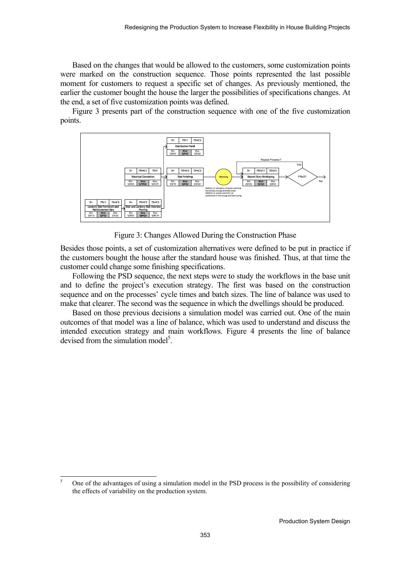Based on the changes that would be allowed to the customers, some customization points were marked on the construction sequence. Those points represented the last possible moment for customers to request a specific set of changes. As previously mentioned, the earlier the customer bought the house the larger the possibilities of specifications changes. At the end, a set of five customization points was defined.

Figure 3 presents part of the construction sequence with one of the five customization points.



Figure 3: Changes Allowed During the Construction Phase

Besides those points, a set of customization alternatives were defined to be put in practice if the customers bought the house after the standard house was finished. Thus, at that time the customer could change some finishing specifications.

Following the PSD sequence, the next steps were to study the workflows in the base unit and to define the project's execution strategy. The first was based on the construction sequence and on the processes' cycle times and batch sizes. The line of balance was used to make that clearer. The second was the sequence in which the dwellings should be produced.

Based on those previous decisions a simulation model was carried out. One of the main outcomes of that model was a line of balance, which was used to understand and discuss the intended execution strategy and main workflows. Figure 4 presents the line of balance devised from the simulation model<sup>5</sup>.

 5 One of the advantages of using a simulation model in the PSD process is the possibility of considering the effects of variability on the production system.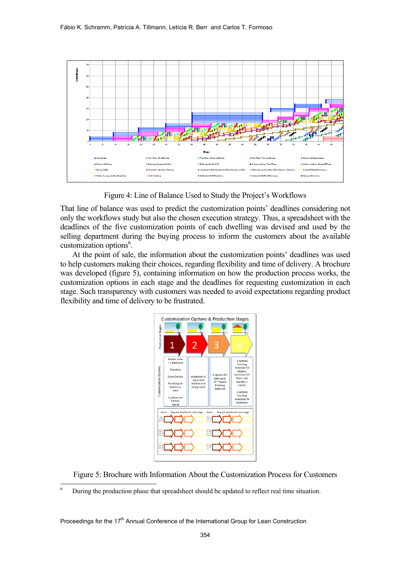

Figure 4: Line of Balance Used to Study the Project's Workflows

That line of balance was used to predict the customization points' deadlines considering not only the workflows study but also the chosen execution strategy. Thus, a spreadsheet with the deadlines of the five customization points of each dwelling was devised and used by the selling department during the buying process to inform the customers about the available  $\arctan$  customization options<sup>6</sup>.

At the point of sale, the information about the customization points' deadlines was used to help customers making their choices, regarding flexibility and time of delivery. A brochure was developed (figure 5), containing information on how the production process works, the customization options in each stage and the deadlines for requesting customization in each stage. Such transparency with customers was needed to avoid expectations regarding product flexibility and time of delivery to be frustrated.



Figure 5: Brochure with Information About the Customization Process for Customers

l

<sup>6</sup> During the production phase that spreadsheet should be updated to reflect real time situation.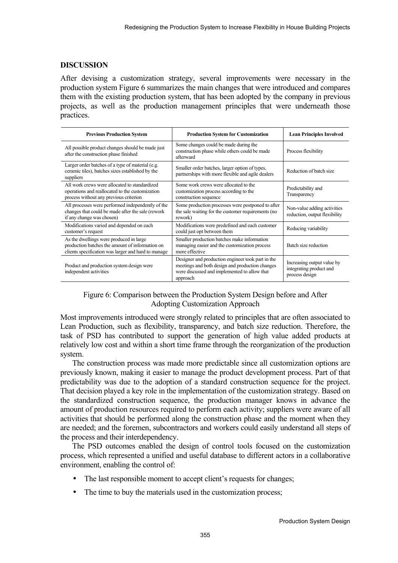## **DISCUSSION**

After devising a customization strategy, several improvements were necessary in the production system Figure 6 summarizes the main changes that were introduced and compares them with the existing production system, that has been adopted by the company in previous projects, as well as the production management principles that were underneath those practices.

| <b>Previous Production System</b>                                                                                                                 | <b>Production System for Customization</b>                                                                                                                       | <b>Lean Principles Involved</b>                                         |
|---------------------------------------------------------------------------------------------------------------------------------------------------|------------------------------------------------------------------------------------------------------------------------------------------------------------------|-------------------------------------------------------------------------|
| All possible product changes should be made just<br>after the construction phase finished                                                         | Some changes could be made during the<br>construction phase while others could be made<br>afterward                                                              | Process flexibility                                                     |
| Larger order batches of a type of material (e.g.<br>ceramic tiles), batches sizes established by the<br>suppliers                                 | Smaller order batches, larger option of types,<br>partnerships with more flexible and agile dealers                                                              | Reduction of batch size                                                 |
| All work crews were allocated to standardized<br>operations and reallocated to the customization<br>process without any previous criterion        | Some work crews were allocated to the<br>customization process according to the<br>construction sequence                                                         | Predictability and<br>Transparency                                      |
| All processes were performed independently of the<br>changes that could be made after the sale (rework<br>if any change was chosen)               | Some production processes were postponed to after<br>the sale waiting for the customer requirements (no<br>rework)                                               | Non-value adding activities<br>reduction, output flexibility            |
| Modifications varied and depended on each<br>customer's request                                                                                   | Modifications were predefined and each customer<br>could just opt between them                                                                                   | Reducing variability                                                    |
| As the dwellings were produced in large<br>production batches the amount of information on<br>clients specification was larger and hard to manage | Smaller production batches make information<br>managing easier and the customization process<br>more effective                                                   | Batch size reduction                                                    |
| Product and production system design were<br>independent activities                                                                               | Designer and production engineer took part in the<br>meetings and both design and production changes<br>were discussed and implemented to allow that<br>approach | Increasing output value by<br>integrating product and<br>process design |

Figure 6: Comparison between the Production System Design before and After Adopting Customization Approach

Most improvements introduced were strongly related to principles that are often associated to Lean Production, such as flexibility, transparency, and batch size reduction. Therefore, the task of PSD has contributed to support the generation of high value added products at relatively low cost and within a short time frame through the reorganization of the production system.

The construction process was made more predictable since all customization options are previously known, making it easier to manage the product development process. Part of that predictability was due to the adoption of a standard construction sequence for the project. That decision played a key role in the implementation of the customization strategy. Based on the standardized construction sequence, the production manager knows in advance the amount of production resources required to perform each activity; suppliers were aware of all activities that should be performed along the construction phase and the moment when they are needed; and the foremen, subcontractors and workers could easily understand all steps of the process and their interdependency.

The PSD outcomes enabled the design of control tools focused on the customization process, which represented a unified and useful database to different actors in a collaborative environment, enabling the control of:

- The last responsible moment to accept client's requests for changes;
- The time to buy the materials used in the customization process;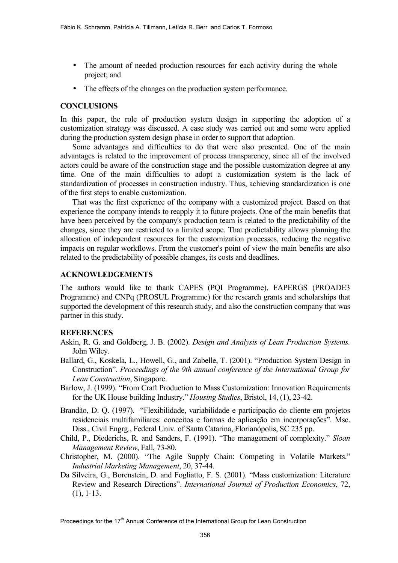- The amount of needed production resources for each activity during the whole project; and
- The effects of the changes on the production system performance.

## **CONCLUSIONS**

In this paper, the role of production system design in supporting the adoption of a customization strategy was discussed. A case study was carried out and some were applied during the production system design phase in order to support that adoption.

Some advantages and difficulties to do that were also presented. One of the main advantages is related to the improvement of process transparency, since all of the involved actors could be aware of the construction stage and the possible customization degree at any time. One of the main difficulties to adopt a customization system is the lack of standardization of processes in construction industry. Thus, achieving standardization is one of the first steps to enable customization.

That was the first experience of the company with a customized project. Based on that experience the company intends to reapply it to future projects. One of the main benefits that have been perceived by the company's production team is related to the predictability of the changes, since they are restricted to a limited scope. That predictability allows planning the allocation of independent resources for the customization processes, reducing the negative impacts on regular workflows. From the customer's point of view the main benefits are also related to the predictability of possible changes, its costs and deadlines.

## **ACKNOWLEDGEMENTS**

The authors would like to thank CAPES (PQI Programme), FAPERGS (PROADE3 Programme) and CNPq (PROSUL Programme) for the research grants and scholarships that supported the development of this research study, and also the construction company that was partner in this study.

# **REFERENCES**

- Askin, R. G. and Goldberg, J. B. (2002). *Design and Analysis of Lean Production Systems.*  John Wiley.
- Ballard, G., Koskela, L., Howell, G., and Zabelle, T. (2001). "Production System Design in Construction". *Proceedings of the 9th annual conference of the International Group for Lean Construction*, Singapore.
- Barlow, J. (1999). "From Craft Production to Mass Customization: Innovation Requirements for the UK House building Industry." *Housing Studies*, Bristol, 14, (1), 23-42.
- Brandão, D. Q. (1997). "Flexibilidade, variabilidade e participação do cliente em projetos residenciais multifamiliares: conceitos e formas de aplicação em incorporações". Msc. Diss., Civil Engrg., Federal Univ. of Santa Catarina, Florianópolis, SC 235 pp.
- Child, P., Diederichs, R. and Sanders, F. (1991). "The management of complexity." *Sloan Management Review*, Fall, 73-80.
- Christopher, M. (2000). "The Agile Supply Chain: Competing in Volatile Markets." *Industrial Marketing Management*, 20, 37-44.
- Da Silveira, G., Borenstein, D. and Fogliatto, F. S. (2001). "Mass customization: Literature Review and Research Directions". *International Journal of Production Economics*, 72, (1), 1-13.

Proceedings for the 17<sup>th</sup> Annual Conference of the International Group for Lean Construction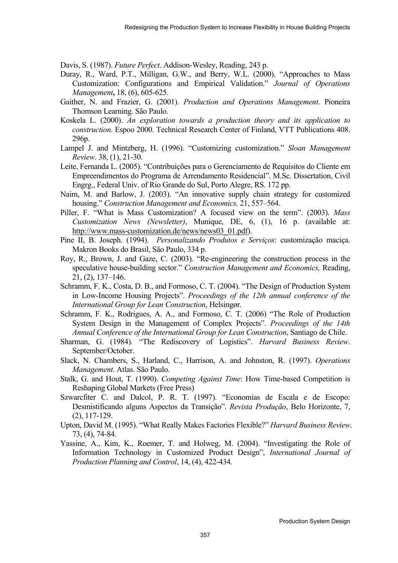Davis, S. (1987). *Future Perfect*. Addison-Wesley, Reading, 243 p.

- Duray, R., Ward, P.T., Milligan, G.W., and Berry, W.L. (2000). "Approaches to Mass Customization: Configurations and Empirical Validation." *Journal of Operations Management***,** 18, (6), 605-625.
- Gaither, N. and Frazier, G. (2001). *Production and Operations Management*. Pioneira Thomson Learning. São Paulo.
- Koskela L. (2000). *An exploration towards a production theory and its application to construction.* Espoo 2000. Technical Research Center of Finland, VTT Publications 408. 296p.
- Lampel J. and Mintzberg, H. (1996). "Customizing customization." *Sloan Management Review*. 38, (1), 21-30.
- Leite, Fernanda L. (2005). "Contribuições para o Gerenciamento de Requisitos do Cliente em Empreendimentos do Programa de Arrendamento Residencial". M.Sc. Dissertation, Civil Engrg., Federal Univ. of Rio Grande do Sul, Porto Alegre, RS. 172 pp.
- Naim, M. and Barlow, J. (2003). "An innovative supply chain strategy for customized housing." *Construction Management and Economics,* 21, 557–564.
- Piller, F. "What is Mass Customization? A focused view on the term". (2003). *Mass Customization News (Newsletter)*, Munique, DE, 6, (1), 16 p. (available at: http://www.mass-customization.de/news/news03\_01.pdf).
- Pine II, B. Joseph. (1994)*. Personalizando Produtos e Serviços*: customização maciça. Makron Books do Brasil, São Paulo, 334 p.
- Roy, R., Brown, J. and Gaze, C. (2003). "Re-engineering the construction process in the speculative house-building sector." *Construction Management and Economics,* Reading, 21, (2), 137–146.
- Schramm, F. K., Costa, D. B., and Formoso, C. T. (2004). "The Design of Production System in Low-Income Housing Projects". *Proceedings of the 12th annual conference of the International Group for Lean Construction*, Helsingør.
- Schramm, F. K., Rodrigues, A. A., and Formoso, C. T. (2006) "The Role of Production System Design in the Management of Complex Projects". *Proceedings of the 14th Annual Conference of the International Group for Lean Construction*, Santiago de Chile.
- Sharman, G. (1984). "The Rediscovery of Logistics". *Harvard Business Review*. September/October.
- Slack, N. Chambers, S., Harland, C., Harrison, A. and Johnston, R. (1997). *Operations Management*. Atlas. São Paulo.
- Stalk, G. and Hout, T. (1990). *Competing Against Time*: How Time-based Competition is Reshaping Global Markets (Free Press)
- Szwarcfiter C. and Dalcol, P. R. T. (1997). "Economias de Escala e de Escopo: Desmistificando alguns Aspectos da Transição". *Revista Produção*, Belo Horizonte, 7, (2), 117-129.
- Upton, David M. (1995). "What Really Makes Factories Flexible?" *Harvard Business Review*. 73, (4), 74-84.
- Yassine, A., Kim, K., Roemer, T. and Holweg, M. (2004). "Investigating the Role of Information Technology in Customized Product Design", *International Journal of Production Planning and Control*, 14, (4), 422-434.